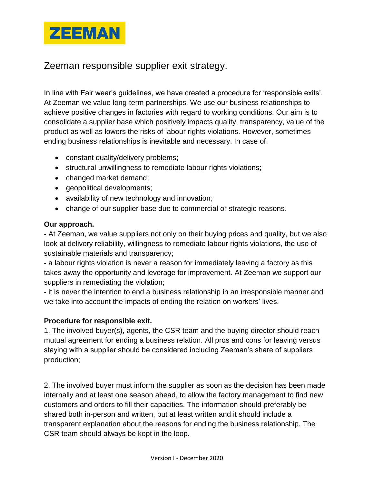

## Zeeman responsible supplier exit strategy.

In line with Fair wear's guidelines, we have created a procedure for 'responsible exits'. At Zeeman we value long-term partnerships. We use our business relationships to achieve positive changes in factories with regard to working conditions. Our aim is to consolidate a supplier base which positively impacts quality, transparency, value of the product as well as lowers the risks of labour rights violations. However, sometimes ending business relationships is inevitable and necessary. In case of:

- constant quality/delivery problems;
- structural unwillingness to remediate labour rights violations;
- changed market demand;
- geopolitical developments;
- availability of new technology and innovation;
- change of our supplier base due to commercial or strategic reasons.

## **Our approach.**

- At Zeeman, we value suppliers not only on their buying prices and quality, but we also look at delivery reliability, willingness to remediate labour rights violations, the use of sustainable materials and transparency;

- a labour rights violation is never a reason for immediately leaving a factory as this takes away the opportunity and leverage for improvement. At Zeeman we support our suppliers in remediating the violation;

- it is never the intention to end a business relationship in an irresponsible manner and we take into account the impacts of ending the relation on workers' lives.

## **Procedure for responsible exit.**

1. The involved buyer(s), agents, the CSR team and the buying director should reach mutual agreement for ending a business relation. All pros and cons for leaving versus staying with a supplier should be considered including Zeeman's share of suppliers production;

2. The involved buyer must inform the supplier as soon as the decision has been made internally and at least one season ahead, to allow the factory management to find new customers and orders to fill their capacities. The information should preferably be shared both in-person and written, but at least written and it should include a transparent explanation about the reasons for ending the business relationship. The CSR team should always be kept in the loop.